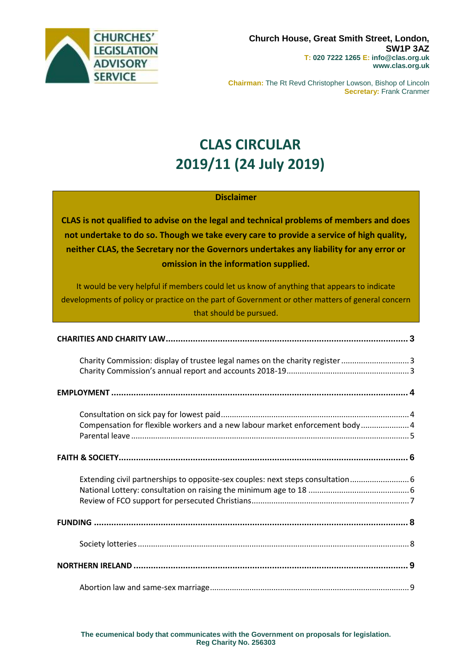

**Chairman:** The Rt Revd Christopher Lowson, Bishop of Lincoln **Secretary:** Frank Cranmer

# **CLAS CIRCULAR 2019/11 (24 July 2019)**

# **Disclaimer**

**CLAS is not qualified to advise on the legal and technical problems of members and does not undertake to do so. Though we take every care to provide a service of high quality, neither CLAS, the Secretary nor the Governors undertakes any liability for any error or omission in the information supplied.**

It would be very helpful if members could let us know of anything that appears to indicate developments of policy or practice on the part of Government or other matters of general concern that should be pursued.

| Charity Commission: display of trustee legal names on the charity register 3    |  |
|---------------------------------------------------------------------------------|--|
|                                                                                 |  |
| Compensation for flexible workers and a new labour market enforcement body4     |  |
|                                                                                 |  |
| Extending civil partnerships to opposite-sex couples: next steps consultation 6 |  |
|                                                                                 |  |
|                                                                                 |  |
|                                                                                 |  |
|                                                                                 |  |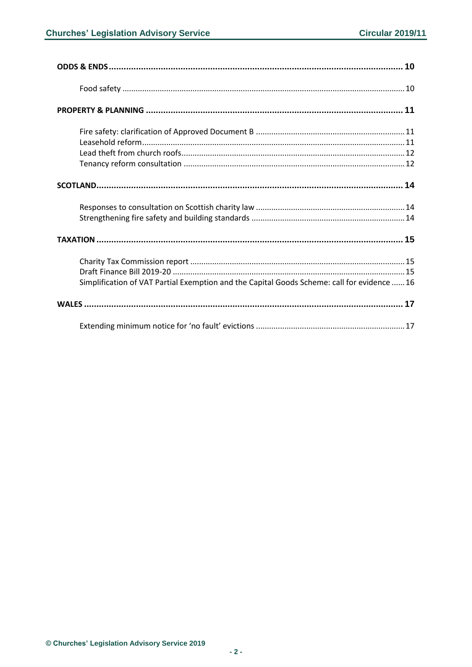| Simplification of VAT Partial Exemption and the Capital Goods Scheme: call for evidence  16 |
|---------------------------------------------------------------------------------------------|
|                                                                                             |
|                                                                                             |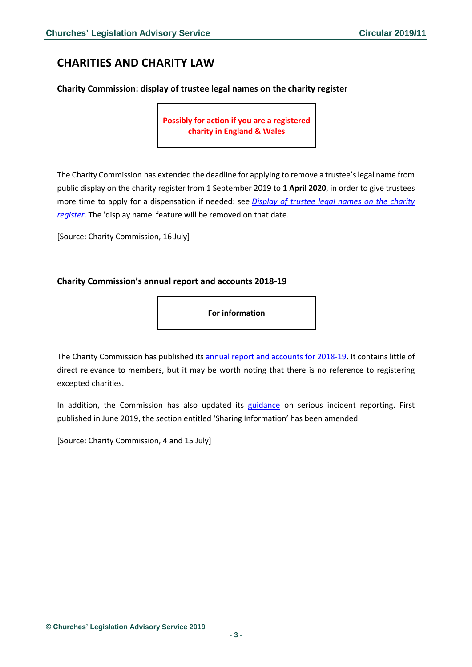# <span id="page-2-0"></span>**CHARITIES AND CHARITY LAW**

## <span id="page-2-1"></span>**Charity Commission: display of trustee legal names on the charity register**

**Possibly for action if you are a registered charity in England & Wales**

The Charity Commission has extended the deadline for applying to remove a trustee's legal name from public display on the charity register from 1 September 2019 to **1 April 2020**, in order to give trustees more time to apply for a dispensation if needed: see *[Display of trustee legal names on the charity](https://www.gov.uk/guidance/addresses-and-trustee-names-in-your-charitys-public-details?utm_source=b0345f76-393b-42a8-bfd6-63f0642b833c&utm_medium=email&utm_campaign=govuk-notifications&utm_content=immediate)  [register](https://www.gov.uk/guidance/addresses-and-trustee-names-in-your-charitys-public-details?utm_source=b0345f76-393b-42a8-bfd6-63f0642b833c&utm_medium=email&utm_campaign=govuk-notifications&utm_content=immediate)*. The 'display name' feature will be removed on that date.

[Source: Charity Commission, 16 July]

# <span id="page-2-2"></span>**Charity Commission's annual report and accounts 2018-19**

**For information**

The Charity Commission has published its [annual report and accounts for 2018-19.](https://www.gov.uk/government/publications/charity-commission-annual-report-and-accounts-2018-to-2019?utm_source=a38a802a-d2c4-4285-8a44-1e8aeb2b8f02&utm_medium=email&utm_campaign=govuk-notifications&utm_content=immediate) It contains little of direct relevance to members, but it may be worth noting that there is no reference to registering excepted charities.

In addition, the Commission has also updated its [guidance](https://www.gov.uk/government/publications/report-a-serious-incident-in-your-charity-privacy-notice/report-a-serious-incident-in-your-charity-privacy-notice) on serious incident reporting. First published in June 2019, the section entitled 'Sharing Information' has been amended.

[Source: Charity Commission, 4 and 15 July]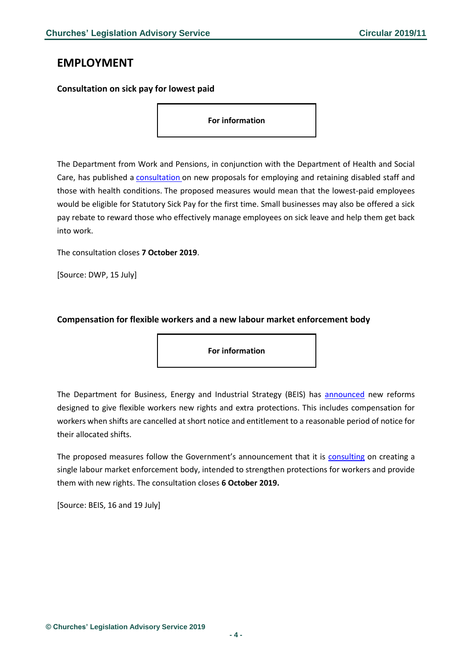# <span id="page-3-0"></span>**EMPLOYMENT**

#### <span id="page-3-1"></span>**Consultation on sick pay for lowest paid**

**For information**

The Department from Work and Pensions, in conjunction with the Department of Health and Social Care, has published a [consultation](https://www.gov.uk/government/consultations/health-is-everyones-business-proposals-to-reduce-ill-health-related-job-loss) on new proposals for employing and retaining disabled staff and those with health conditions. The proposed measures would mean that the lowest-paid employees would be eligible for Statutory Sick Pay for the first time. Small businesses may also be offered a sick pay rebate to reward those who effectively manage employees on sick leave and help them get back into work.

The consultation closes **7 October 2019**.

[Source: DWP, 15 July]

### <span id="page-3-2"></span>**Compensation for flexible workers and a new labour market enforcement body**

**For information**

The Department for Business, Energy and Industrial Strategy (BEIS) has [announced](https://www.gov.uk/government/news/compensation-for-flexible-workers-facing-cancelled-shifts) new reforms designed to give flexible workers new rights and extra protections. This includes compensation for workers when shifts are cancelled at short notice and entitlement to a reasonable period of notice for their allocated shifts.

The proposed measures follow the Government's announcement that it is [consulting](https://www.gov.uk/government/news/new-protections-for-millions-of-vulnerable-workers) on creating a single labour market enforcement body, intended to strengthen protections for workers and provide them with new rights. The consultation closes **6 October 2019.**

[Source: BEIS, 16 and 19 July]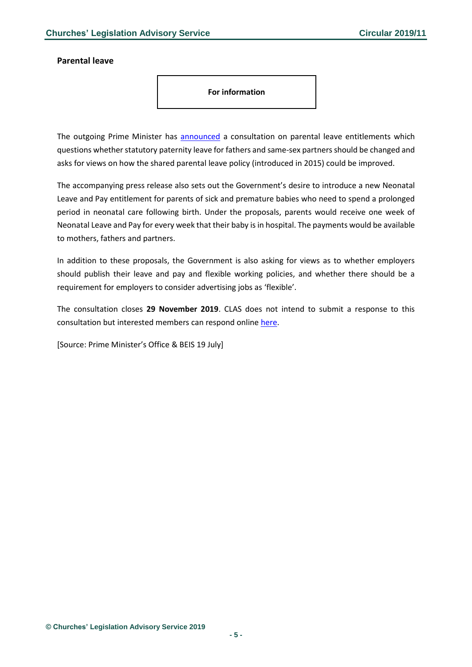#### <span id="page-4-0"></span>**Parental leave**

**For information**

The outgoing Prime Minister has [announced](https://www.gov.uk/government/news/pm-calls-for-greater-equality-in-parental-leave) a consultation on parental leave entitlements which questions whether statutory paternity leave for fathers and same-sex partners should be changed and asks for views on how the shared parental leave policy (introduced in 2015) could be improved.

The accompanying press release also sets out the Government's desire to introduce a new Neonatal Leave and Pay entitlement for parents of sick and premature babies who need to spend a prolonged period in neonatal care following birth. Under the proposals, parents would receive one week of Neonatal Leave and Pay for every week that their baby is in hospital. The payments would be available to mothers, fathers and partners.

In addition to these proposals, the Government is also asking for views as to whether employers should publish their leave and pay and flexible working policies, and whether there should be a requirement for employers to consider advertising jobs as 'flexible'.

The consultation closes **29 November 2019**. CLAS does not intend to submit a response to this consultation but interested members can respond online [here.](https://www.gov.uk/government/consultations/good-work-plan-proposals-to-support-families)

[Source: Prime Minister's Office & BEIS 19 July]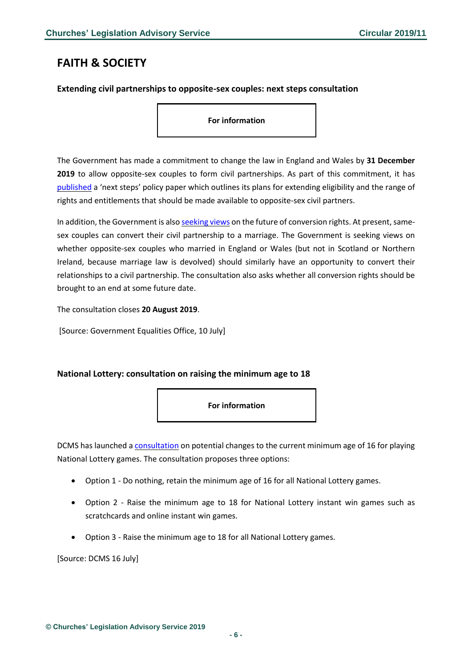# <span id="page-5-0"></span>**FAITH & SOCIETY**

#### <span id="page-5-1"></span>**Extending civil partnerships to opposite-sex couples: next steps consultation**

**For information**

The Government has made a commitment to change the law in England and Wales by **31 December 2019** to allow opposite-sex couples to form civil partnerships. As part of this commitment, it has [published](https://www.gov.uk/government/consultations/civil-partnerships-next-steps-and-consultation-on-conversion) a 'next steps' policy paper which outlines its plans for extending eligibility and the range of rights and entitlements that should be made available to opposite-sex civil partners.

In addition, the Government is also [seeking](https://assets.publishing.service.gov.uk/government/uploads/system/uploads/attachment_data/file/815741/Civil_Partnerships_-_Next_Steps_and_Consultation_on_Conversion.pdf) views on the future of conversion rights. At present, samesex couples can convert their civil partnership to a marriage. The Government is seeking views on whether opposite-sex couples who married in England or Wales (but not in Scotland or Northern Ireland, because marriage law is devolved) should similarly have an opportunity to convert their relationships to a civil partnership. The consultation also asks whether all conversion rights should be brought to an end at some future date.

The consultation closes **20 August 2019**.

[Source: Government Equalities Office, 10 July]

### <span id="page-5-2"></span>**National Lottery: consultation on raising the minimum age to 18**



DCMS has launched a [consultation](https://www.gov.uk/government/consultations/consultation-on-the-minimum-age-for-playing-national-lottery-games?utm_source=77216a0d-0489-49bf-8dd9-a8f546f18b27&utm_medium=email&utm_campaign=govuk-notifications&utm_content=immediate) on potential changes to the current minimum age of 16 for playing National Lottery games. The consultation proposes three options:

- Option 1 Do nothing, retain the minimum age of 16 for all National Lottery games.
- Option 2 Raise the minimum age to 18 for National Lottery instant win games such as scratchcards and online instant win games.
- Option 3 Raise the minimum age to 18 for all National Lottery games.

[Source: DCMS 16 July]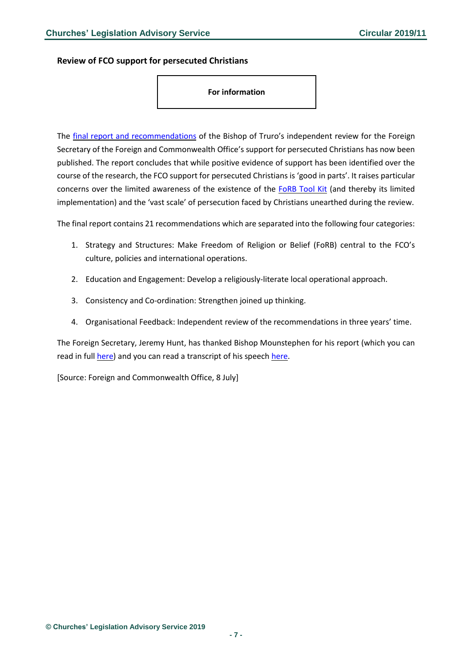#### <span id="page-6-0"></span>**Review of FCO support for persecuted Christians**

#### **For information**

The final report and [recommendations](https://christianpersecutionreview.org.uk/storage/2019/07/final-report-and-recommendations.pdf) of the Bishop of Truro's independent review for the Foreign Secretary of the Foreign and Commonwealth Office's support for persecuted Christians has now been published. The report concludes that while positive evidence of support has been identified over the course of the research, the FCO support for persecuted Christians is 'good in parts'. It raises particular concerns over the limited awareness of the existence of the [FoRB](https://assets.publishing.service.gov.uk/government/uploads/system/uploads/attachment_data/file/561516/Freedom_of_Religion_or_Belief_Toolkit_-_2016.pdf) Tool Kit (and thereby its limited implementation) and the 'vast scale' of persecution faced by Christians unearthed during the review.

The final report contains 21 recommendations which are separated into the following four categories:

- 1. Strategy and Structures: Make Freedom of Religion or Belief (FoRB) central to the FCO's culture, policies and international operations.
- 2. Education and Engagement: Develop a religiously-literate local operational approach.
- 3. Consistency and Co-ordination: Strengthen joined up thinking.
- 4. Organisational Feedback: Independent review of the recommendations in three years' time.

The Foreign Secretary, Jeremy Hunt, has thanked Bishop Mounstephen for his report (which you can read in full [here\)](https://christianpersecutionreview.org.uk/storage/2019/07/final-report-and-recommendations.pdf) and you can read a transcript of his speech [here.](https://www.gov.uk/government/speeches/persecution-of-christians-review-foreign-secretarys-speech-following-the-final-report)

[Source: Foreign and Commonwealth Office, 8 July]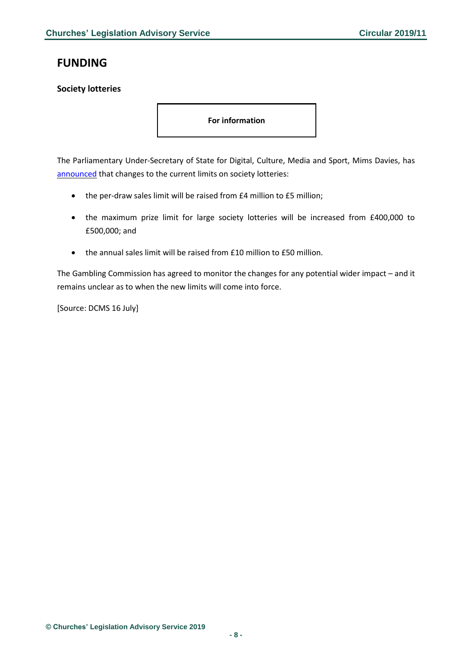# <span id="page-7-0"></span>**FUNDING**

## <span id="page-7-1"></span>**Society lotteries**

**For information**

The Parliamentary Under-Secretary of State for Digital, Culture, Media and Sport, Mims Davies, has [announced](https://hansard.parliament.uk/commons/2019-07-16/debates/D476297F-2496-4608-B97E-E16C1BDDF702/LotteriesRegulation) that changes to the current limits on society lotteries:

- the per-draw sales limit will be raised from £4 million to £5 million;
- the maximum prize limit for large society lotteries will be increased from £400,000 to £500,000; and
- the annual sales limit will be raised from £10 million to £50 million.

The Gambling Commission has agreed to monitor the changes for any potential wider impact – and it remains unclear as to when the new limits will come into force.

[Source: DCMS 16 July]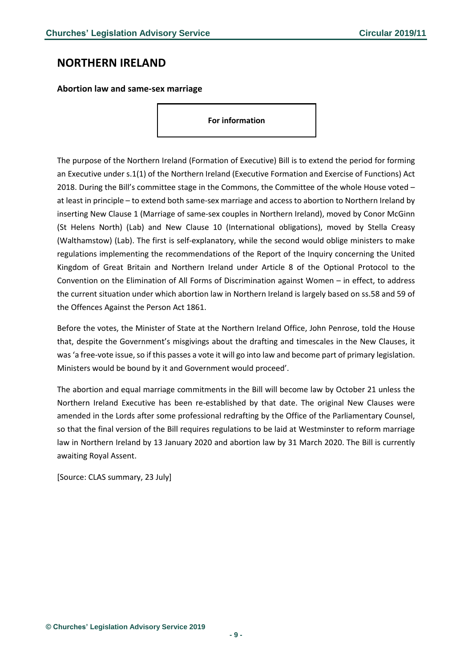# <span id="page-8-0"></span>**NORTHERN IRELAND**

<span id="page-8-1"></span>**Abortion law and same-sex marriage**

**For information**

The purpose of the Northern Ireland (Formation of Executive) Bill is to extend the period for forming an Executive under s.1(1) of the Northern Ireland (Executive Formation and Exercise of Functions) Act 2018. During the Bill's committee stage in the Commons, the Committee of the whole House voted – at least in principle – to extend both same-sex marriage and access to abortion to Northern Ireland by inserting New Clause 1 (Marriage of same-sex couples in Northern Ireland), moved by Conor McGinn (St Helens North) (Lab) and New Clause 10 (International obligations), moved by Stella Creasy (Walthamstow) (Lab). The first is self-explanatory, while the second would oblige ministers to make regulations implementing the recommendations of the Report of the Inquiry concerning the United Kingdom of Great Britain and Northern Ireland under Article 8 of the Optional Protocol to the Convention on the Elimination of All Forms of Discrimination against Women – in effect, to address the current situation under which abortion law in Northern Ireland is largely based on ss.58 and 59 of the Offences Against the Person Act 1861.

Before the votes, the Minister of State at the Northern Ireland Office, John Penrose, told the House that, despite the Government's misgivings about the drafting and timescales in the New Clauses, it was 'a free-vote issue, so if this passes a vote it will go into law and become part of primary legislation. Ministers would be bound by it and Government would proceed'.

The abortion and equal marriage commitments in the Bill will become law by October 21 unless the Northern Ireland Executive has been re-established by that date. The original New Clauses were amended in the Lords after some professional redrafting by the Office of the Parliamentary Counsel, so that the final version of the Bill requires regulations to be laid at Westminster to reform marriage law in Northern Ireland by 13 January 2020 and abortion law by 31 March 2020. The Bill is currently awaiting Royal Assent.

[Source: CLAS summary, 23 July]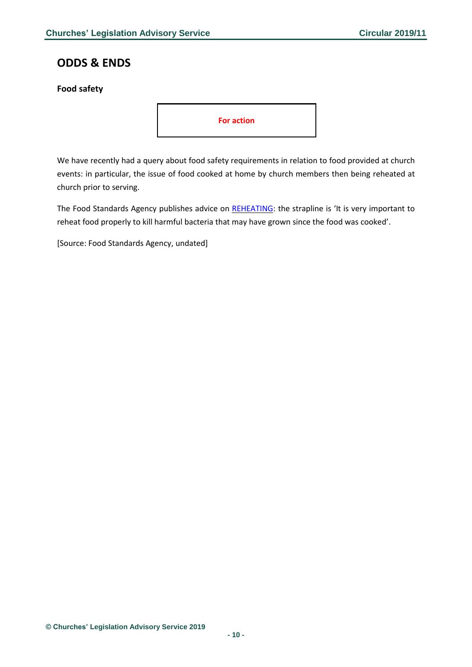# <span id="page-9-0"></span>**ODDS & ENDS**

## <span id="page-9-1"></span>**Food safety**



We have recently had a query about food safety requirements in relation to food provided at church events: in particular, the issue of food cooked at home by church members then being reheated at church prior to serving.

The Food Standards Agency publishes advice on [REHEATING:](https://www.food.gov.uk/sites/default/files/media/document/reheating.pdf) the strapline is 'It is very important to reheat food properly to kill harmful bacteria that may have grown since the food was cooked'.

[Source: Food Standards Agency, undated]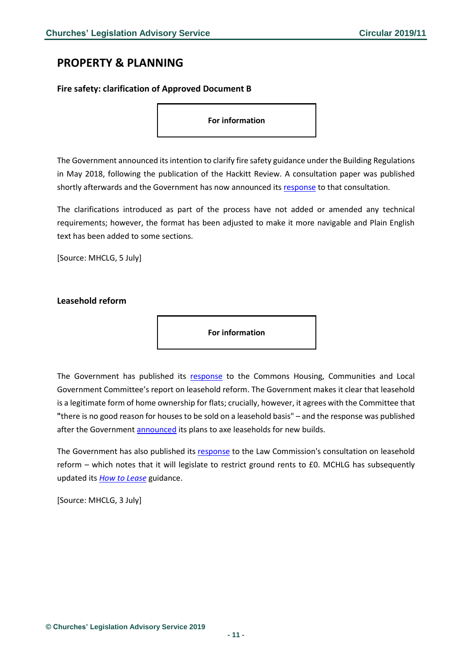# <span id="page-10-0"></span>**PROPERTY & PLANNING**

#### <span id="page-10-1"></span>**Fire safety: clarification of Approved Document B**

**For information**

The Government announced its intention to clarify fire safety guidance under the Building Regulations in May 2018, following the publication of the Hackitt Review. A consultation paper was published shortly afterwards and the Government has now announced its [response](https://www.gov.uk/government/consultations/fire-safety-clarification-of-statutory-guidance-approved-document-b#history) to that consultation.

The clarifications introduced as part of the process have not added or amended any technical requirements; however, the format has been adjusted to make it more navigable and Plain English text has been added to some sections.

[Source: MHCLG, 5 July]

<span id="page-10-2"></span>**Leasehold reform**

**For information**

The Government has published its [response](https://assets.publishing.service.gov.uk/government/uploads/system/uploads/attachment_data/file/814334/CCS0519270992-001_Gov_Response_on_Leasehold_Reform_Web_Accessible.pdf) to the Commons Housing, Communities and Local Government Committee's report on leasehold reform. The Government makes it clear that leasehold is a legitimate form of home ownership for flats; crucially, however, it agrees with the Committee that **"**there is no good reason for houses to be sold on a leasehold basis" – and the response was published after the Government [announced](https://www.gov.uk/government/speeches/housing-conference-2019?utm_source=e173ecef-f6c3-4b38-ace8-ff216714f2c4&utm_medium=email&utm_campaign=govuk-notifications&utm_content=immediate) its plans to axe leaseholds for new builds.

The Government has also published its [response](https://assets.publishing.service.gov.uk/government/uploads/system/uploads/attachment_data/file/812827/190626_Consultation_Government_Response.pdf) to the Law Commission's consultation on leasehold reform – which notes that it will legislate to restrict ground rents to £0. MCHLG has subsequently updated its *[How to Lease](https://assets.publishing.service.gov.uk/government/uploads/system/uploads/attachment_data/file/814163/How_to_Lease_July_2019.PDF)* guidance.

[Source: MHCLG, 3 July]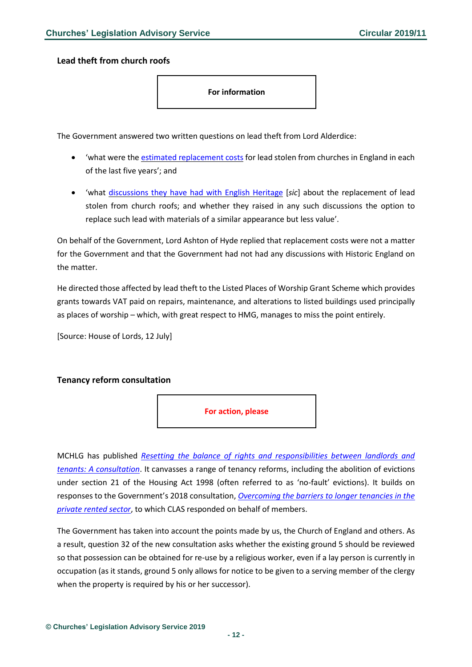<span id="page-11-0"></span>**Lead theft from church roofs**

**For information**

The Government answered two written questions on lead theft from Lord Alderdice:

- 'what were the estimated [replacement](https://www.parliament.uk/business/publications/written-questions-answers-statements/written-question/Lords/2019-07-02/HL16859/) costs for lead stolen from churches in England in each of the last five years'; and
- 'what [discussions](https://www.parliament.uk/business/publications/written-questions-answers-statements/written-question/Lords/2019-07-02/HL16862/) they have had with English Heritage [*sic*] about the replacement of lead stolen from church roofs; and whether they raised in any such discussions the option to replace such lead with materials of a similar appearance but less value'.

On behalf of the Government, Lord Ashton of Hyde replied that replacement costs were not a matter for the Government and that the Government had not had any discussions with Historic England on the matter.

He directed those affected by lead theft to the Listed Places of Worship Grant Scheme which provides grants towards VAT paid on repairs, maintenance, and alterations to listed buildings used principally as places of worship – which, with great respect to HMG, manages to miss the point entirely.

[Source: House of Lords, 12 July]

### <span id="page-11-1"></span>**Tenancy reform consultation**



MCHLG has published *[Resetting the balance of rights and responsibilities between landlords and](https://assets.publishing.service.gov.uk/government/uploads/system/uploads/attachment_data/file/819270/A_New_Deal_for_Renting_Resetting_the_Balance_of_Rights_and_Responsibilities_between_Landlords_and_Tenants.pdf)  [tenants: A consultation](https://assets.publishing.service.gov.uk/government/uploads/system/uploads/attachment_data/file/819270/A_New_Deal_for_Renting_Resetting_the_Balance_of_Rights_and_Responsibilities_between_Landlords_and_Tenants.pdf)*. It canvasses a range of tenancy reforms, including the abolition of evictions under section 21 of the Housing Act 1998 (often referred to as 'no-fault' evictions). It builds on responses to the Government's 2018 consultation, *[Overcoming the barriers to longer tenancies in the](https://www.gov.uk/government/consultations/overcoming-the-barriers-to-longer-tenancies-in-the-private-rented-sector)  [private rented sector](https://www.gov.uk/government/consultations/overcoming-the-barriers-to-longer-tenancies-in-the-private-rented-sector)*, to which CLAS responded on behalf of members.

The Government has taken into account the points made by us, the Church of England and others. As a result, question 32 of the new consultation asks whether the existing ground 5 should be reviewed so that possession can be obtained for re-use by a religious worker, even if a lay person is currently in occupation (as it stands, ground 5 only allows for notice to be given to a serving member of the clergy when the property is required by his or her successor).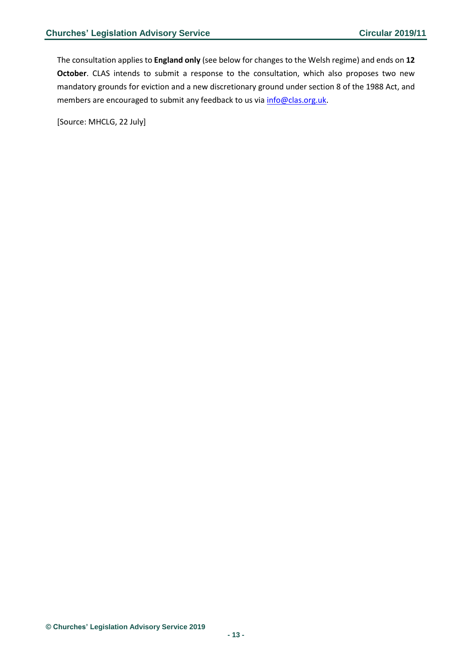The consultation applies to **England only** (see below for changes to the Welsh regime) and ends on **12 October**. CLAS intends to submit a response to the consultation, which also proposes two new mandatory grounds for eviction and a new discretionary ground under section 8 of the 1988 Act, and members are encouraged to submit any feedback to us vi[a info@clas.org.uk.](mailto:info@clas.org.uk)

[Source: MHCLG, 22 July]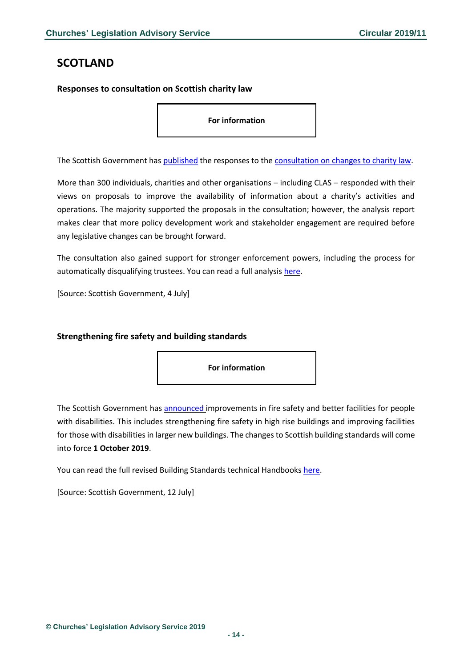# <span id="page-13-0"></span>**SCOTLAND**

### <span id="page-13-1"></span>**Responses to consultation on Scottish charity law**

**For information**

The Scottish Government has [published](https://consult.gov.scot/local-government-and-communities/scottish-charity-law/consultation/published_select_respondent) the responses to the [consultation on changes to charity law.](https://news.gov.scot/news/media-release-consultation-on-charity-law)

More than 300 individuals, charities and other organisations – including CLAS – responded with their views on proposals to improve the availability of information about a charity's activities and operations. The majority supported the proposals in the consultation; however, the analysis report makes clear that more policy development work and stakeholder engagement are required before any legislative changes can be brought forward.

The consultation also gained support for stronger enforcement powers, including the process for automatically disqualifying trustees. You can read a full analysis [here.](https://www.gov.scot/publications/analysis-consultation-scottish-charity-law/)

[Source: Scottish Government, 4 July]

### <span id="page-13-2"></span>**Strengthening fire safety and building standards**

**For information**

The Scottish Government has [announced](https://news.gov.scot/news/strengthening-fire-safety-and-building-standards) improvements in fire safety and better facilities for people with disabilities. This includes strengthening fire safety in high rise buildings and improving facilities for those with disabilities in larger new buildings. The changes to Scottish building standards will come into force **1 October 2019**.

You can read the full revised Building Standards technical Handbooks [here.](https://www.gov.scot/policies/building-standards/monitoring-improving-building-regulations/)

[Source: Scottish Government, 12 July]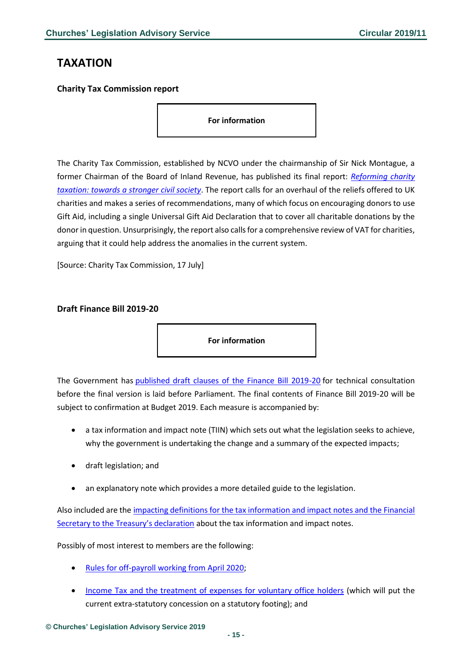# <span id="page-14-0"></span>**TAXATION**

### <span id="page-14-1"></span>**Charity Tax Commission report**

**For information**

The Charity Tax Commission, established by NCVO under the chairmanship of Sir Nick Montague, a former Chairman of the Board of Inland Revenue, has published its final report: *[Reforming charity](https://www.ncvo.org.uk/images/documents/policy_and_research/funding/CharityCommissionReport__ForWebTwoColumns.pdf)  [taxation: towards a stronger civil society](https://www.ncvo.org.uk/images/documents/policy_and_research/funding/CharityCommissionReport__ForWebTwoColumns.pdf)*. The report calls for an overhaul of the reliefs offered to UK charities and makes a series of recommendations, many of which focus on encouraging donors to use Gift Aid, including a single Universal Gift Aid Declaration that to cover all charitable donations by the donor in question. Unsurprisingly, the report also calls for a comprehensive review of VAT for charities, arguing that it could help address the anomalies in the current system.

[Source: Charity Tax Commission, 17 July]

#### <span id="page-14-2"></span>**Draft Finance Bill 2019-20**

**For information**

The Government has [published draft clauses of the Finance Bill 2019-20](https://www.gov.uk/government/collections/finance-bill-2019-20) for technical consultation before the final version is laid before Parliament. The final contents of Finance Bill 2019-20 will be subject to confirmation at Budget 2019. Each measure is accompanied by:

- a tax information and impact note (TIIN) which sets out what the legislation seeks to achieve, why the government is undertaking the change and a summary of the expected impacts;
- draft legislation; and
- an explanatory note which provides a more detailed guide to the legislation.

Also included are the [impacting definitions for the tax information and impact notes and the Financial](https://www.gov.uk/government/publications/draft-finance-bill-2019-20-legislation-impacting-definitions-and-declaration)  [Secretary to the Treasury's declaration](https://www.gov.uk/government/publications/draft-finance-bill-2019-20-legislation-impacting-definitions-and-declaration) about the tax information and impact notes.

Possibly of most interest to members are the following:

- [Rules for off-payroll working from April 2020;](https://www.gov.uk/government/publications/rules-for-off-payroll-working-from-april-2020)
- Income Tax [and the treatment of expenses for voluntary office holders](https://www.gov.uk/government/publications/income-tax-and-the-treatment-of-expenses-for-voluntary-office-holders) (which will put the current extra-statutory concession on a statutory footing); and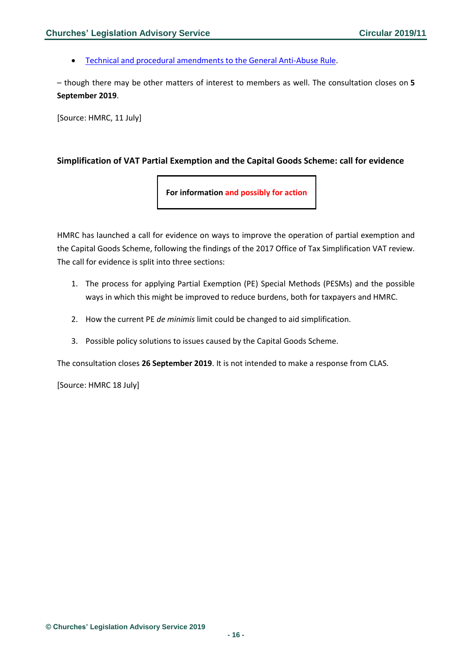• [Technical and procedural amendments to the General Anti-Abuse Rule.](https://www.gov.uk/government/publications/technical-and-procedural-amendments-to-the-general-anti-abuse-rule)

– though there may be other matters of interest to members as well. The consultation closes on **5 September 2019**.

[Source: HMRC, 11 July]

## <span id="page-15-0"></span>**Simplification of VAT Partial Exemption and the Capital Goods Scheme: call for evidence**

**For information and possibly for action**

HMRC has launched a call for evidence on ways to improve the operation of partial exemption and the Capital Goods Scheme, following the findings of the 2017 Office of Tax Simplification VAT review. The call for evidence is split into three sections:

- 1. The process for applying Partial Exemption (PE) Special Methods (PESMs) and the possible ways in which this might be improved to reduce burdens, both for taxpayers and HMRC.
- 2. How the current PE *de minimis* limit could be changed to aid simplification.
- 3. Possible policy solutions to issues caused by the Capital Goods Scheme.

The consultation closes **26 September 2019**. It is not intended to make a response from CLAS.

[Source: HMRC 18 July]